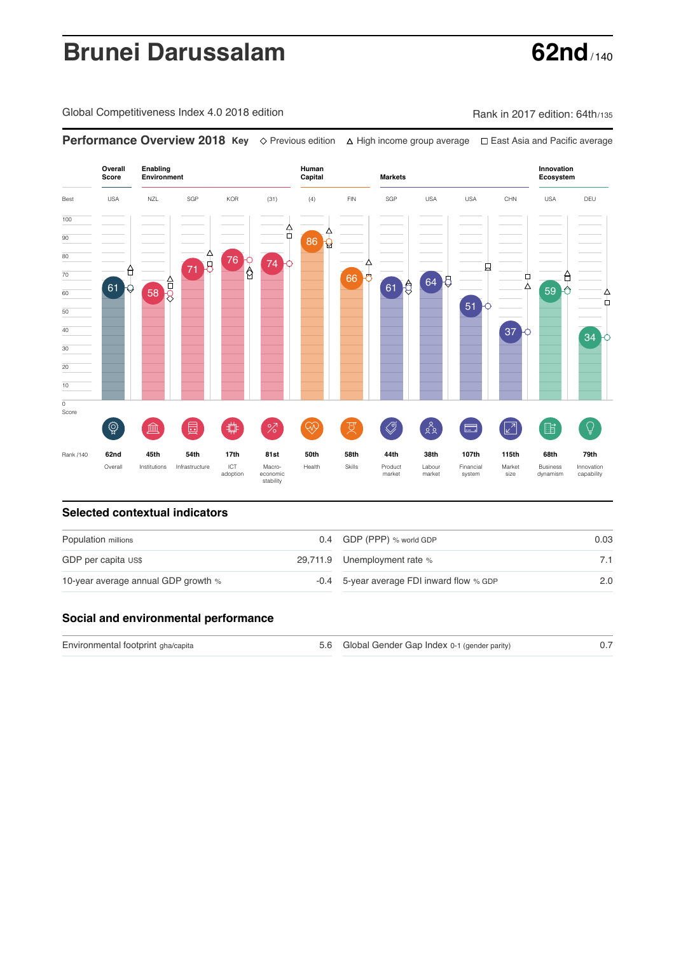# **Brunei Darussalam 62nd**

Global Competitiveness Index 4.0 2018 edition Company Rank in 2017 edition: 64th/135

**Performance Overview 2018 Key** Previous edition High income group average East Asia and Pacific average

**Overall Human Innovation Enabling Environment Capital Markets Score Ecosystem** Best USA NZL SGP KOR (31) (4) FIN SGP USA USA CHN USA DEU 100 合 Δ  $\overline{90}$ 86 **Q** 80 76 74 71 5 Λ 貞 0 70 66 0  $\Box$ A 64  $\overline{58}$   $\overline{5}$ 61  $61<sup>8</sup>$ ∆ 59 <del>0</del> 60  $\phi$ 51 50 40 37 34 30 20 10  $\overline{0}$ Score  $\widehat{Q}$  $\oslash$  $\delta_{\alpha}^{\circ}$  $\overline{Q}$ **ledge (** 屵 %)(  $\circledcirc$  ( 及) 击  $\boxed{2}$ 酯 E Rank /140 **62nd 45th 54th 17th 81st 50th 58th 44th 38th 107th 115th 68th 79th** ICT Macro-<br>adoption econom Overall Institutions Infrastructure Market Health Skills Product market Labour<br>market Financial system Business dynamism Innovation capability wacro-<br>economic<br>stability size

### **Selected contextual indicators**

| Population millions                 | 0.4 GDP (PPP) % world GDP                 | 0.03 |
|-------------------------------------|-------------------------------------------|------|
| GDP per capita US\$                 | 29,711.9 Unemployment rate %              |      |
| 10-year average annual GDP growth % | -0.4 5-year average FDI inward flow % GDP | 2.0  |

## **Social and environmental performance**

Environmental footprint gha/capita and the state of the Global Gender Gap Index 0-1 (gender parity) 6.7

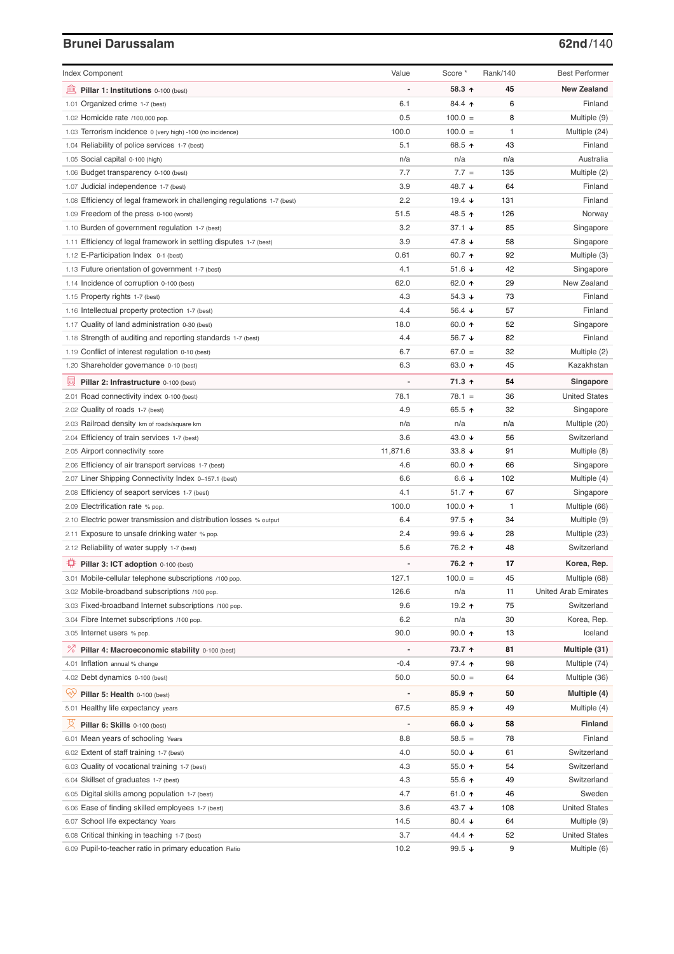# **Brunei Darussalam 62nd**/140

| <b>Index Component</b>                                                   | Value          | Score *                  | Rank/140 | <b>Best Performer</b>       |
|--------------------------------------------------------------------------|----------------|--------------------------|----------|-----------------------------|
| 寙<br>Pillar 1: Institutions 0-100 (best)                                 |                | 58.3 ↑                   | 45       | <b>New Zealand</b>          |
| 1.01 Organized crime 1-7 (best)                                          | 6.1            | 84.4 ↑                   | 6        | Finland                     |
| 1.02 Homicide rate /100,000 pop.                                         | 0.5            | $100.0 =$                | 8        | Multiple (9)                |
| 1.03 Terrorism incidence 0 (very high) -100 (no incidence)               | 100.0          | $100.0 =$                | 1        | Multiple (24)               |
| 1.04 Reliability of police services 1-7 (best)                           | 5.1            | 68.5 ↑                   | 43       | Finland                     |
| 1.05 Social capital 0-100 (high)                                         | n/a            | n/a                      | n/a      | Australia                   |
| 1.06 Budget transparency 0-100 (best)                                    | 7.7            | $7.7 =$                  | 135      | Multiple (2)                |
| 1.07 Judicial independence 1-7 (best)                                    | 3.9            | 48.7 ↓                   | 64       | Finland                     |
| 1.08 Efficiency of legal framework in challenging regulations 1-7 (best) | 2.2            | 19.4 $\sqrt{ }$          | 131      | Finland                     |
| 1.09 Freedom of the press 0-100 (worst)                                  | 51.5           | 48.5 ↑                   | 126      | Norway                      |
| 1.10 Burden of government regulation 1-7 (best)                          | 3.2            | $37.1 +$                 | 85       | Singapore                   |
| 1.11 Efficiency of legal framework in settling disputes 1-7 (best)       | 3.9            | 47.8 $\sqrt{ }$          | 58       | Singapore                   |
| 1.12 E-Participation Index 0-1 (best)                                    | 0.61           | 60.7 ↑                   | 92       | Multiple (3)                |
| 1.13 Future orientation of government 1-7 (best)                         | 4.1            | 51.6 $\sqrt{ }$          | 42       | Singapore                   |
| 1.14 Incidence of corruption 0-100 (best)                                | 62.0           | 62.0 ↑                   | 29       | New Zealand                 |
| 1.15 Property rights 1-7 (best)                                          | 4.3            | 54.3 $\sqrt{ }$          | 73       | Finland                     |
| 1.16 Intellectual property protection 1-7 (best)                         | 4.4            | 56.4 $\sqrt{ }$          | 57       | Finland                     |
| 1.17 Quality of land administration 0-30 (best)                          | 18.0           | 60.0 $\uparrow$          | 52       | Singapore                   |
| 1.18 Strength of auditing and reporting standards 1-7 (best)             | 4.4            | 56.7 ↓                   | 82       | Finland                     |
| 1.19 Conflict of interest regulation 0-10 (best)                         | 6.7            | $67.0 =$                 | 32       | Multiple (2)                |
| 1.20 Shareholder governance 0-10 (best)                                  | 6.3            | 63.0 ↑                   | 45       | Kazakhstan                  |
| 員<br>Pillar 2: Infrastructure 0-100 (best)                               |                | 71.3 ↑                   | 54       | Singapore                   |
| 2.01 Road connectivity index 0-100 (best)                                | 78.1           | $78.1 =$                 | 36       | <b>United States</b>        |
| 2.02 Quality of roads 1-7 (best)                                         | 4.9            | 65.5 $\uparrow$          | 32       | Singapore                   |
| 2.03 Railroad density km of roads/square km                              | n/a            | n/a                      | n/a      | Multiple (20)               |
| 2.04 Efficiency of train services 1-7 (best)                             | 3.6            | 43.0 $\sqrt{ }$          | 56       | Switzerland                 |
| 2.05 Airport connectivity score                                          | 11,871.6       | 33.8 $\sqrt{ }$          | 91       | Multiple (8)                |
| 2.06 Efficiency of air transport services 1-7 (best)                     | 4.6            | 60.0 $\uparrow$          | 66       | Singapore                   |
| 2.07 Liner Shipping Connectivity Index 0-157.1 (best)                    | 6.6            | 6.6 $\downarrow$         | 102      | Multiple (4)                |
| 2.08 Efficiency of seaport services 1-7 (best)                           | 4.1            | $51.7$ ↑                 | 67       | Singapore                   |
| 2.09 Electrification rate % pop.                                         | 100.0          | 100.0 $\uparrow$         | 1        | Multiple (66)               |
| 2.10 Electric power transmission and distribution losses % output        | 6.4            | $97.5$ ↑                 | 34       | Multiple (9)                |
| 2.11 Exposure to unsafe drinking water % pop.                            | 2.4            | 99.6 $\sqrt{ }$          | 28       | Multiple (23)               |
| 2.12 Reliability of water supply 1-7 (best)                              | 5.6            | 76.2 ↑                   | 48       | Switzerland                 |
| O<br>Pillar 3: ICT adoption 0-100 (best)                                 |                | 76.2 ↑                   | 17       | Korea, Rep.                 |
| 3.01 Mobile-cellular telephone subscriptions /100 pop.                   | 127.1          | $100.0 =$                | 45       | Multiple (68)               |
| 3.02 Mobile-broadband subscriptions /100 pop.                            | 126.6          | n/a                      | 11       | <b>United Arab Emirates</b> |
| 3.03 Fixed-broadband Internet subscriptions /100 pop.                    | 9.6            | 19.2 ተ                   | 75       | Switzerland                 |
| 3.04 Fibre Internet subscriptions /100 pop.                              | 6.2            | n/a                      | 30       | Korea, Rep.                 |
| 3.05 Internet users % pop.                                               | 90.0           | $90.0 \text{ } \Upsilon$ | 13       | Iceland                     |
| ℅<br>Pillar 4: Macroeconomic stability 0-100 (best)                      | $\overline{a}$ | 73.7 ↑                   | 81       | Multiple (31)               |
| 4.01 Inflation annual % change                                           | $-0.4$         | $97.4$ ↑                 | 98       | Multiple (74)               |
| 4.02 Debt dynamics 0-100 (best)                                          | 50.0           | $50.0 =$                 | 64       | Multiple (36)               |
| Qÿ<br>Pillar 5: Health 0-100 (best)                                      | ÷              | $85.9$ ^                 | 50       | Multiple (4)                |
| 5.01 Healthy life expectancy years                                       | 67.5           | 85.9 ↑                   | 49       | Multiple (4)                |
|                                                                          |                |                          |          |                             |
| 섯<br>Pillar 6: Skills 0-100 (best)                                       | ÷              | 66.0 $\sqrt{ }$          | 58       | Finland                     |
| 6.01 Mean years of schooling Years                                       | 8.8            | $58.5 =$                 | 78       | Finland                     |
| 6.02 Extent of staff training 1-7 (best)                                 | 4.0            | 50.0 $\sqrt{ }$          | 61       | Switzerland                 |
| 6.03 Quality of vocational training 1-7 (best)                           | 4.3            | 55.0 $\uparrow$          | 54       | Switzerland                 |
| 6.04 Skillset of graduates 1-7 (best)                                    | 4.3            | 55.6 个                   | 49       | Switzerland                 |
| 6.05 Digital skills among population 1-7 (best)                          | 4.7            | 61.0 ↑                   | 46       | Sweden                      |
| 6.06 Ease of finding skilled employees 1-7 (best)                        | 3.6            | 43.7 $\sqrt{ }$          | 108      | <b>United States</b>        |
| 6.07 School life expectancy Years                                        | 14.5           | 80.4 $\sqrt{ }$          | 64       | Multiple (9)                |
| 6.08 Critical thinking in teaching 1-7 (best)                            | 3.7            | 44.4 1                   | 52       | <b>United States</b>        |
| 6.09 Pupil-to-teacher ratio in primary education Ratio                   | 10.2           | 99.5 $\sqrt{ }$          | 9        | Multiple (6)                |